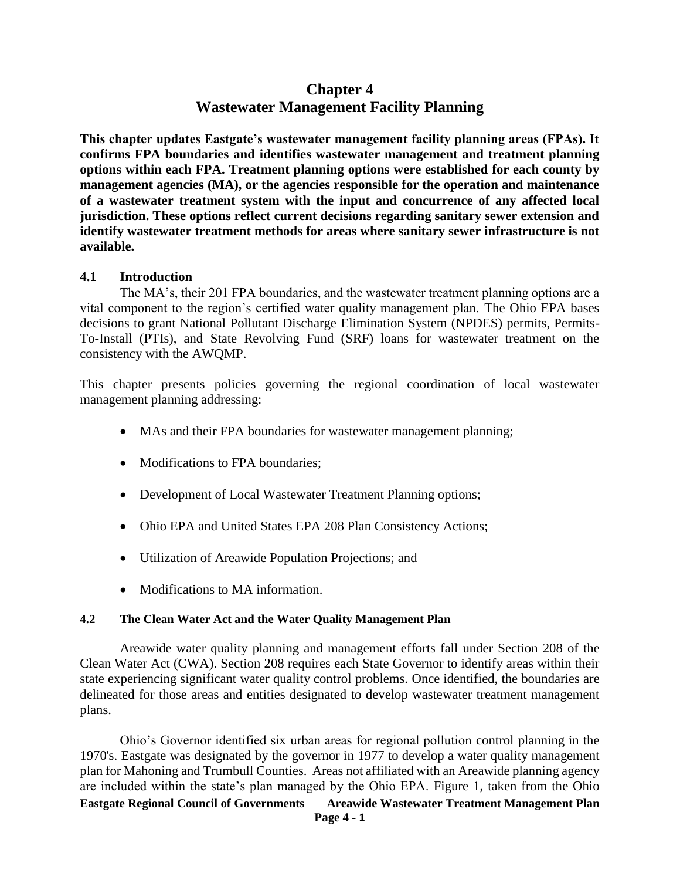# **Chapter 4 Wastewater Management Facility Planning**

**This chapter updates Eastgate's wastewater management facility planning areas (FPAs). It confirms FPA boundaries and identifies wastewater management and treatment planning options within each FPA. Treatment planning options were established for each county by management agencies (MA), or the agencies responsible for the operation and maintenance of a wastewater treatment system with the input and concurrence of any affected local jurisdiction. These options reflect current decisions regarding sanitary sewer extension and identify wastewater treatment methods for areas where sanitary sewer infrastructure is not available.**

### **4.1 Introduction**

The MA's, their 201 FPA boundaries, and the wastewater treatment planning options are a vital component to the region's certified water quality management plan. The Ohio EPA bases decisions to grant National Pollutant Discharge Elimination System (NPDES) permits, Permits-To-Install (PTIs), and State Revolving Fund (SRF) loans for wastewater treatment on the consistency with the AWQMP.

This chapter presents policies governing the regional coordination of local wastewater management planning addressing:

- MAs and their FPA boundaries for wastewater management planning;
- Modifications to FPA boundaries:
- Development of Local Wastewater Treatment Planning options;
- Ohio EPA and United States EPA 208 Plan Consistency Actions;
- Utilization of Areawide Population Projections; and
- Modifications to MA information.

### **4.2 The Clean Water Act and the Water Quality Management Plan**

Areawide water quality planning and management efforts fall under Section 208 of the Clean Water Act (CWA). Section 208 requires each State Governor to identify areas within their state experiencing significant water quality control problems. Once identified, the boundaries are delineated for those areas and entities designated to develop wastewater treatment management plans.

**Eastgate Regional Council of Governments Areawide Wastewater Treatment Management Plan** Ohio's Governor identified six urban areas for regional pollution control planning in the 1970's. Eastgate was designated by the governor in 1977 to develop a water quality management plan for Mahoning and Trumbull Counties. Areas not affiliated with an Areawide planning agency are included within the state's plan managed by the Ohio EPA. Figure 1, taken from the Ohio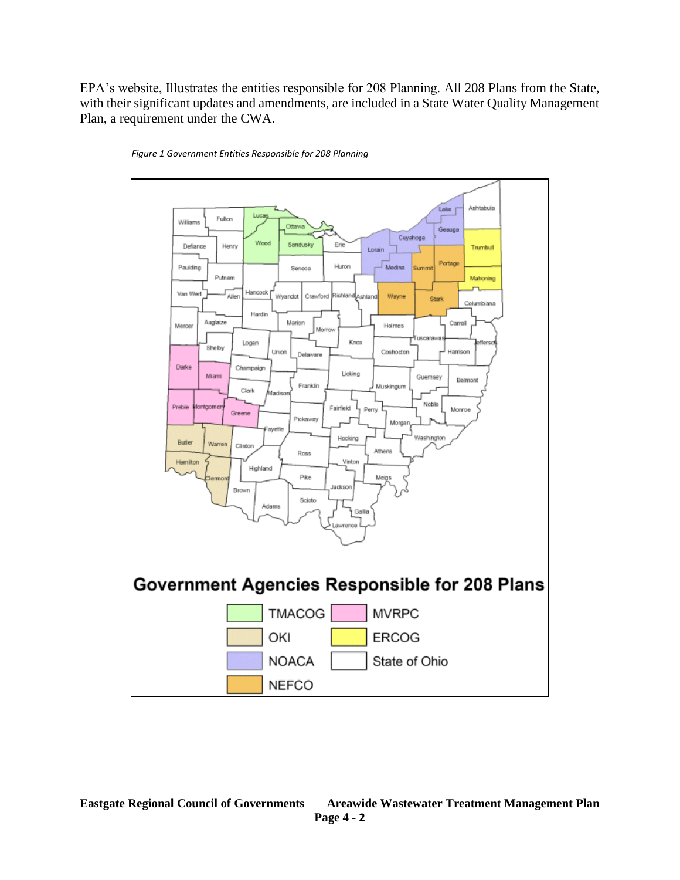EPA's website, Illustrates the entities responsible for 208 Planning. All 208 Plans from the State, with their significant updates and amendments, are included in a State Water Quality Management Plan, a requirement under the CWA.



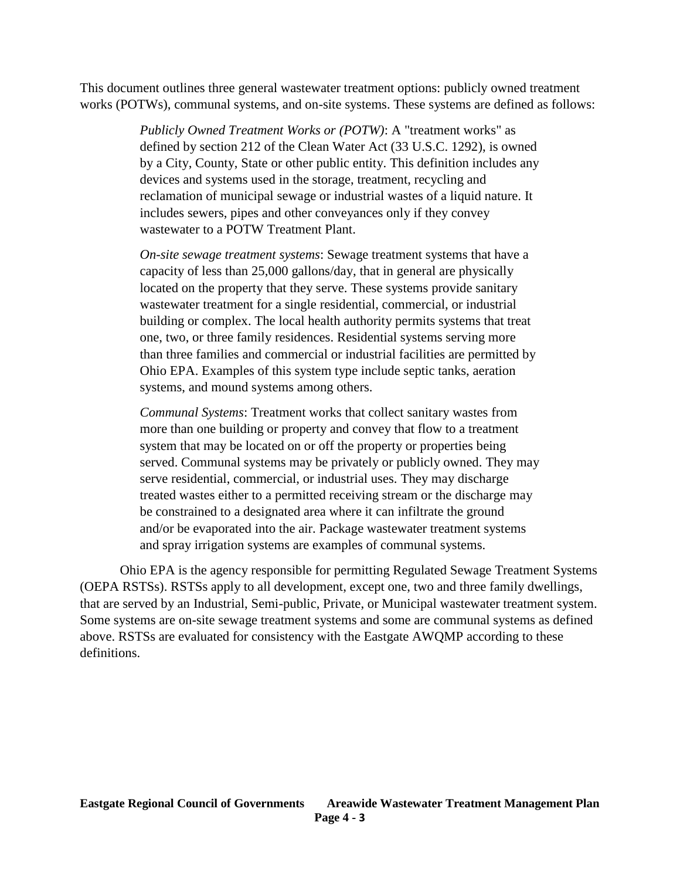This document outlines three general wastewater treatment options: publicly owned treatment works (POTWs), communal systems, and on-site systems. These systems are defined as follows:

> *Publicly Owned Treatment Works or (POTW)*: A "treatment works" as defined by section 212 of the Clean Water Act (33 U.S.C. 1292), is owned by a City, County, State or other public entity. This definition includes any devices and systems used in the storage, treatment, recycling and reclamation of municipal sewage or industrial wastes of a liquid nature. It includes sewers, pipes and other conveyances only if they convey wastewater to a POTW Treatment Plant.

*On-site sewage treatment systems*: Sewage treatment systems that have a capacity of less than 25,000 gallons/day, that in general are physically located on the property that they serve. These systems provide sanitary wastewater treatment for a single residential, commercial, or industrial building or complex. The local health authority permits systems that treat one, two, or three family residences. Residential systems serving more than three families and commercial or industrial facilities are permitted by Ohio EPA. Examples of this system type include septic tanks, aeration systems, and mound systems among others.

*Communal Systems*: Treatment works that collect sanitary wastes from more than one building or property and convey that flow to a treatment system that may be located on or off the property or properties being served. Communal systems may be privately or publicly owned. They may serve residential, commercial, or industrial uses. They may discharge treated wastes either to a permitted receiving stream or the discharge may be constrained to a designated area where it can infiltrate the ground and/or be evaporated into the air. Package wastewater treatment systems and spray irrigation systems are examples of communal systems.

Ohio EPA is the agency responsible for permitting Regulated Sewage Treatment Systems (OEPA RSTSs). RSTSs apply to all development, except one, two and three family dwellings, that are served by an Industrial, Semi-public, Private, or Municipal wastewater treatment system. Some systems are on-site sewage treatment systems and some are communal systems as defined above. RSTSs are evaluated for consistency with the Eastgate AWQMP according to these definitions.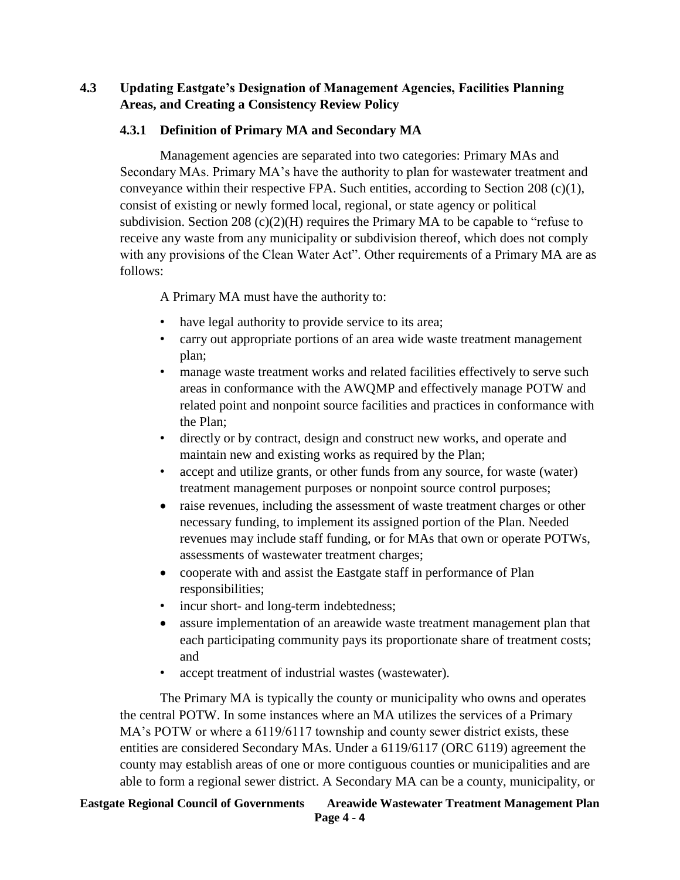# **4.3 Updating Eastgate's Designation of Management Agencies, Facilities Planning Areas, and Creating a Consistency Review Policy**

# **4.3.1 Definition of Primary MA and Secondary MA**

Management agencies are separated into two categories: Primary MAs and Secondary MAs. Primary MA's have the authority to plan for wastewater treatment and conveyance within their respective FPA. Such entities, according to Section 208  $(c)(1)$ , consist of existing or newly formed local, regional, or state agency or political subdivision. Section 208 (c)(2)(H) requires the Primary MA to be capable to "refuse to receive any waste from any municipality or subdivision thereof, which does not comply with any provisions of the Clean Water Act". Other requirements of a Primary MA are as follows:

A Primary MA must have the authority to:

- have legal authority to provide service to its area;
- carry out appropriate portions of an area wide waste treatment management plan;
- manage waste treatment works and related facilities effectively to serve such areas in conformance with the AWQMP and effectively manage POTW and related point and nonpoint source facilities and practices in conformance with the Plan;
- directly or by contract, design and construct new works, and operate and maintain new and existing works as required by the Plan;
- accept and utilize grants, or other funds from any source, for waste (water) treatment management purposes or nonpoint source control purposes;
- raise revenues, including the assessment of waste treatment charges or other necessary funding, to implement its assigned portion of the Plan. Needed revenues may include staff funding, or for MAs that own or operate POTWs, assessments of wastewater treatment charges;
- cooperate with and assist the Eastgate staff in performance of Plan responsibilities;
- incur short- and long-term indebtedness;
- assure implementation of an areawide waste treatment management plan that each participating community pays its proportionate share of treatment costs; and
- accept treatment of industrial wastes (wastewater).

The Primary MA is typically the county or municipality who owns and operates the central POTW. In some instances where an MA utilizes the services of a Primary MA's POTW or where a 6119/6117 township and county sewer district exists, these entities are considered Secondary MAs. Under a 6119/6117 (ORC 6119) agreement the county may establish areas of one or more contiguous counties or municipalities and are able to form a regional sewer district. A Secondary MA can be a county, municipality, or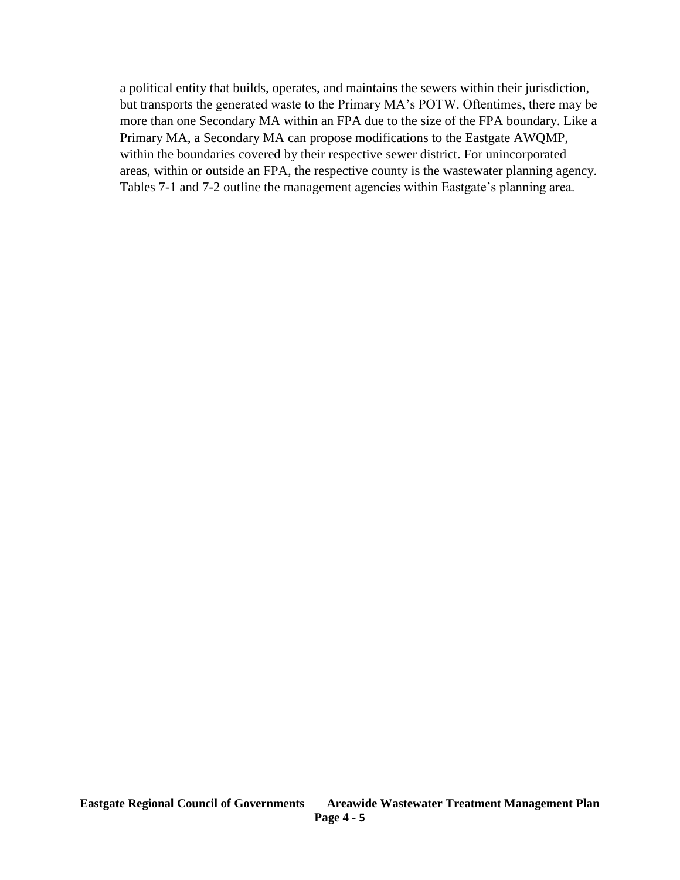a political entity that builds, operates, and maintains the sewers within their jurisdiction, but transports the generated waste to the Primary MA's POTW. Oftentimes, there may be more than one Secondary MA within an FPA due to the size of the FPA boundary. Like a Primary MA, a Secondary MA can propose modifications to the Eastgate AWQMP, within the boundaries covered by their respective sewer district. For unincorporated areas, within or outside an FPA, the respective county is the wastewater planning agency. Tables 7-1 and 7-2 outline the management agencies within Eastgate's planning area.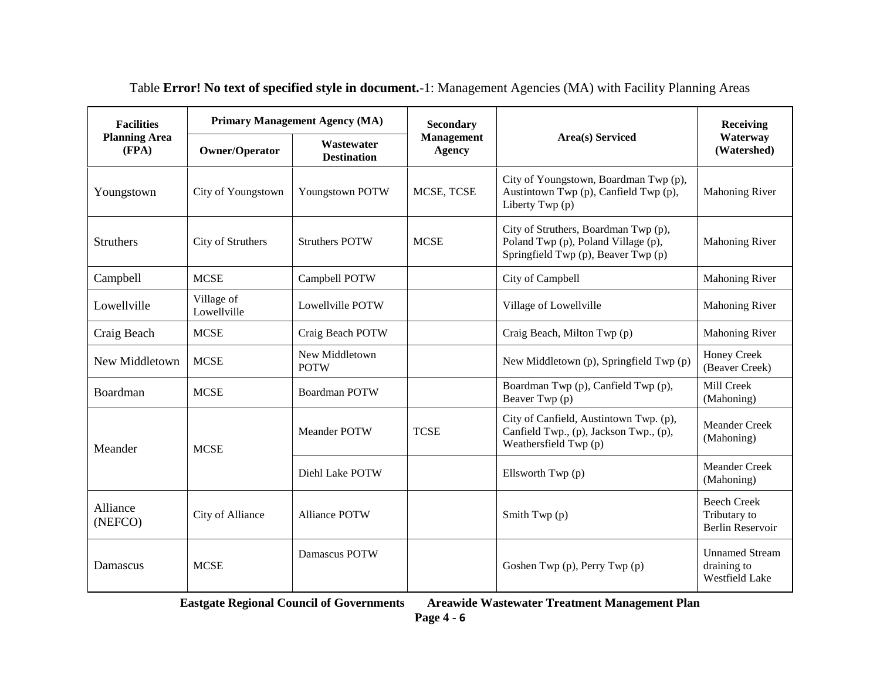| <b>Facilities</b><br><b>Planning Area</b><br>(FPA) | <b>Primary Management Agency (MA)</b> |                                  | <b>Secondary</b>                   |                                                                                                                    | <b>Receiving</b>                                              |
|----------------------------------------------------|---------------------------------------|----------------------------------|------------------------------------|--------------------------------------------------------------------------------------------------------------------|---------------------------------------------------------------|
|                                                    | Owner/Operator                        | Wastewater<br><b>Destination</b> | <b>Management</b><br><b>Agency</b> | <b>Area(s)</b> Serviced                                                                                            | Waterway<br>(Watershed)                                       |
| Youngstown                                         | City of Youngstown                    | Youngstown POTW                  | MCSE, TCSE                         | City of Youngstown, Boardman Twp (p),<br>Austintown Twp (p), Canfield Twp (p),<br>Liberty Twp (p)                  | <b>Mahoning River</b>                                         |
| <b>Struthers</b>                                   | City of Struthers                     | <b>Struthers POTW</b>            | <b>MCSE</b>                        | City of Struthers, Boardman Twp (p),<br>Poland Twp (p), Poland Village (p),<br>Springfield Twp (p), Beaver Twp (p) | <b>Mahoning River</b>                                         |
| Campbell                                           | <b>MCSE</b>                           | Campbell POTW                    |                                    | City of Campbell                                                                                                   | <b>Mahoning River</b>                                         |
| Lowellville                                        | Village of<br>Lowellville             | Lowellville POTW                 |                                    | Village of Lowellville                                                                                             | <b>Mahoning River</b>                                         |
| Craig Beach                                        | <b>MCSE</b>                           | Craig Beach POTW                 |                                    | Craig Beach, Milton Twp (p)                                                                                        | <b>Mahoning River</b>                                         |
| New Middletown                                     | <b>MCSE</b>                           | New Middletown<br><b>POTW</b>    |                                    | New Middletown (p), Springfield Twp (p)                                                                            | <b>Honey Creek</b><br>(Beaver Creek)                          |
| Boardman                                           | <b>MCSE</b>                           | <b>Boardman POTW</b>             |                                    | Boardman Twp (p), Canfield Twp (p),<br>Beaver Twp (p)                                                              | Mill Creek<br>(Mahoning)                                      |
| Meander                                            | <b>MCSE</b>                           | <b>Meander POTW</b>              | <b>TCSE</b>                        | City of Canfield, Austintown Twp. (p),<br>Canfield Twp., (p), Jackson Twp., (p),<br>Weathersfield Twp (p)          | <b>Meander Creek</b><br>(Mahoning)                            |
|                                                    |                                       | Diehl Lake POTW                  |                                    | Ellsworth Twp (p)                                                                                                  | <b>Meander Creek</b><br>(Mahoning)                            |
| Alliance<br>(NEFCO)                                | City of Alliance                      | <b>Alliance POTW</b>             |                                    | Smith Twp $(p)$                                                                                                    | <b>Beech Creek</b><br>Tributary to<br>Berlin Reservoir        |
| Damascus                                           | <b>MCSE</b>                           | Damascus POTW                    |                                    | Goshen Twp (p), Perry Twp (p)                                                                                      | <b>Unnamed Stream</b><br>draining to<br><b>Westfield Lake</b> |

Table **Error! No text of specified style in document.**-1: Management Agencies (MA) with Facility Planning Areas

**Eastgate Regional Council of Governments Areawide Wastewater Treatment Management Plan**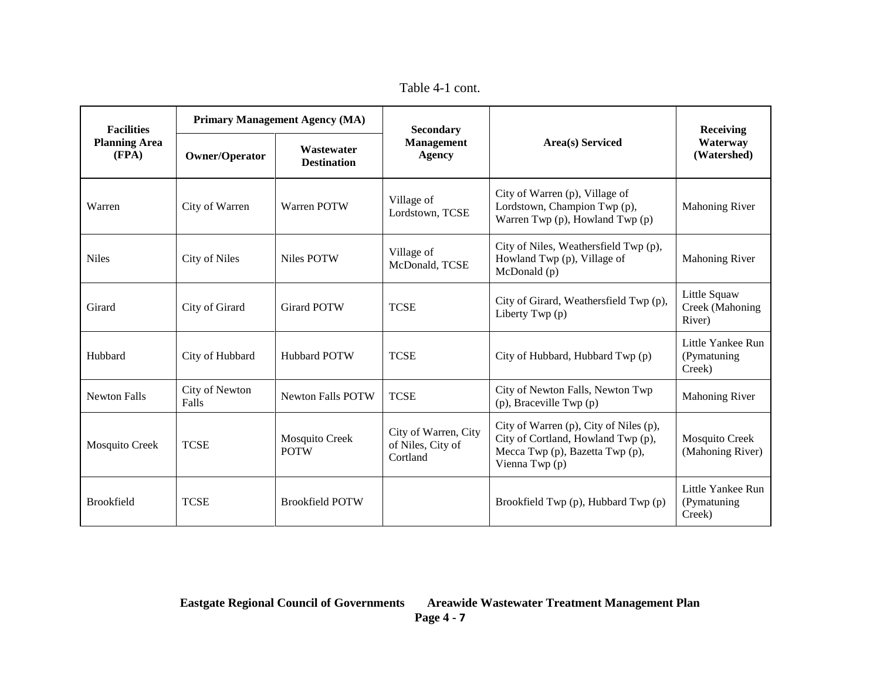Table 4-1 cont.

| <b>Facilities</b><br><b>Planning Area</b><br>(FPA) | <b>Primary Management Agency (MA)</b> |                                  | <b>Secondary</b>                                      |                                                                                                                                   | <b>Receiving</b>                            |
|----------------------------------------------------|---------------------------------------|----------------------------------|-------------------------------------------------------|-----------------------------------------------------------------------------------------------------------------------------------|---------------------------------------------|
|                                                    | Owner/Operator                        | Wastewater<br><b>Destination</b> | <b>Management</b><br><b>Agency</b>                    | <b>Area(s)</b> Serviced                                                                                                           | Waterway<br>(Watershed)                     |
| Warren                                             | City of Warren                        | Warren POTW                      | Village of<br>Lordstown, TCSE                         | City of Warren (p), Village of<br>Lordstown, Champion Twp (p),<br>Warren Twp (p), Howland Twp (p)                                 | <b>Mahoning River</b>                       |
| <b>Niles</b>                                       | <b>City of Niles</b>                  | Niles POTW                       | Village of<br>McDonald, TCSE                          | City of Niles, Weathersfield Twp (p),<br>Howland Twp (p), Village of<br>McDonald (p)                                              | <b>Mahoning River</b>                       |
| Girard                                             | City of Girard                        | <b>Girard POTW</b>               | <b>TCSE</b>                                           | City of Girard, Weathersfield Twp (p),<br>Liberty Twp (p)                                                                         | Little Squaw<br>Creek (Mahoning<br>River)   |
| Hubbard                                            | City of Hubbard                       | <b>Hubbard POTW</b>              | <b>TCSE</b>                                           | City of Hubbard, Hubbard Twp (p)                                                                                                  | Little Yankee Run<br>(Pymatuning)<br>Creek) |
| <b>Newton Falls</b>                                | City of Newton<br>Falls               | <b>Newton Falls POTW</b>         | <b>TCSE</b>                                           | City of Newton Falls, Newton Twp<br>$(p)$ , Braceville Twp $(p)$                                                                  | <b>Mahoning River</b>                       |
| <b>Mosquito Creek</b>                              | <b>TCSE</b>                           | Mosquito Creek<br><b>POTW</b>    | City of Warren, City<br>of Niles, City of<br>Cortland | City of Warren (p), City of Niles (p),<br>City of Cortland, Howland Twp (p),<br>Mecca Twp (p), Bazetta Twp (p),<br>Vienna Twp (p) | Mosquito Creek<br>(Mahoning River)          |
| <b>Brookfield</b>                                  | <b>TCSE</b>                           | <b>Brookfield POTW</b>           |                                                       | Brookfield Twp (p), Hubbard Twp (p)                                                                                               | Little Yankee Run<br>(Pymatuning)<br>Creek) |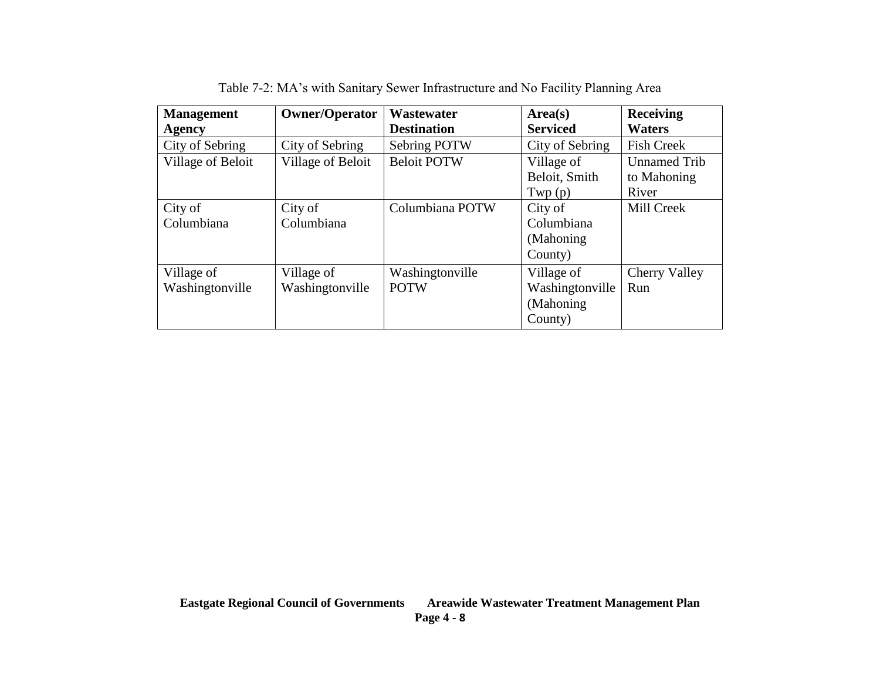| <b>Management</b><br><b>Agency</b> | <b>Owner/Operator</b>         | Wastewater<br><b>Destination</b> | Area(s)<br><b>Serviced</b>                             | <b>Receiving</b><br><b>Waters</b>           |
|------------------------------------|-------------------------------|----------------------------------|--------------------------------------------------------|---------------------------------------------|
| City of Sebring                    | City of Sebring               | Sebring POTW                     | City of Sebring                                        | <b>Fish Creek</b>                           |
| Village of Beloit                  | Village of Beloit             | <b>Beloit POTW</b>               | Village of<br>Beloit, Smith<br>Twp(p)                  | <b>Unnamed Trib</b><br>to Mahoning<br>River |
| City of<br>Columbiana              | City of<br>Columbiana         | Columbiana POTW                  | City of<br>Columbiana<br>(Mahoning)<br>County)         | Mill Creek                                  |
| Village of<br>Washingtonville      | Village of<br>Washingtonville | Washingtonville<br><b>POTW</b>   | Village of<br>Washingtonville<br>(Mahoning)<br>County) | Cherry Valley<br>Run                        |

Table 7-2: MA's with Sanitary Sewer Infrastructure and No Facility Planning Area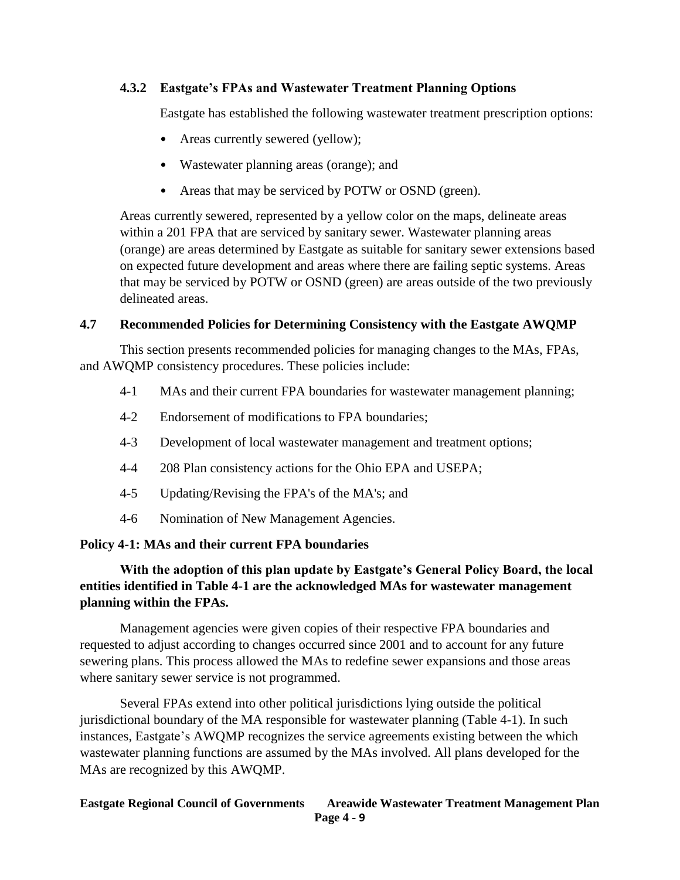# **4.3.2 Eastgate's FPAs and Wastewater Treatment Planning Options**

Eastgate has established the following wastewater treatment prescription options:

- Areas currently sewered (yellow);
- Wastewater planning areas (orange); and
- Areas that may be serviced by POTW or OSND (green).

Areas currently sewered, represented by a yellow color on the maps, delineate areas within a 201 FPA that are serviced by sanitary sewer. Wastewater planning areas (orange) are areas determined by Eastgate as suitable for sanitary sewer extensions based on expected future development and areas where there are failing septic systems. Areas that may be serviced by POTW or OSND (green) are areas outside of the two previously delineated areas.

# **4.7 Recommended Policies for Determining Consistency with the Eastgate AWQMP**

This section presents recommended policies for managing changes to the MAs, FPAs, and AWQMP consistency procedures. These policies include:

- 4-1 MAs and their current FPA boundaries for wastewater management planning;
- 4-2 Endorsement of modifications to FPA boundaries;
- 4-3 Development of local wastewater management and treatment options;
- 4-4 208 Plan consistency actions for the Ohio EPA and USEPA;
- 4-5 Updating/Revising the FPA's of the MA's; and
- 4-6 Nomination of New Management Agencies.

# **Policy 4-1: MAs and their current FPA boundaries**

# **With the adoption of this plan update by Eastgate's General Policy Board, the local entities identified in Table 4-1 are the acknowledged MAs for wastewater management planning within the FPAs.**

Management agencies were given copies of their respective FPA boundaries and requested to adjust according to changes occurred since 2001 and to account for any future sewering plans. This process allowed the MAs to redefine sewer expansions and those areas where sanitary sewer service is not programmed.

Several FPAs extend into other political jurisdictions lying outside the political jurisdictional boundary of the MA responsible for wastewater planning (Table 4-1). In such instances, Eastgate's AWQMP recognizes the service agreements existing between the which wastewater planning functions are assumed by the MAs involved. All plans developed for the MAs are recognized by this AWQMP.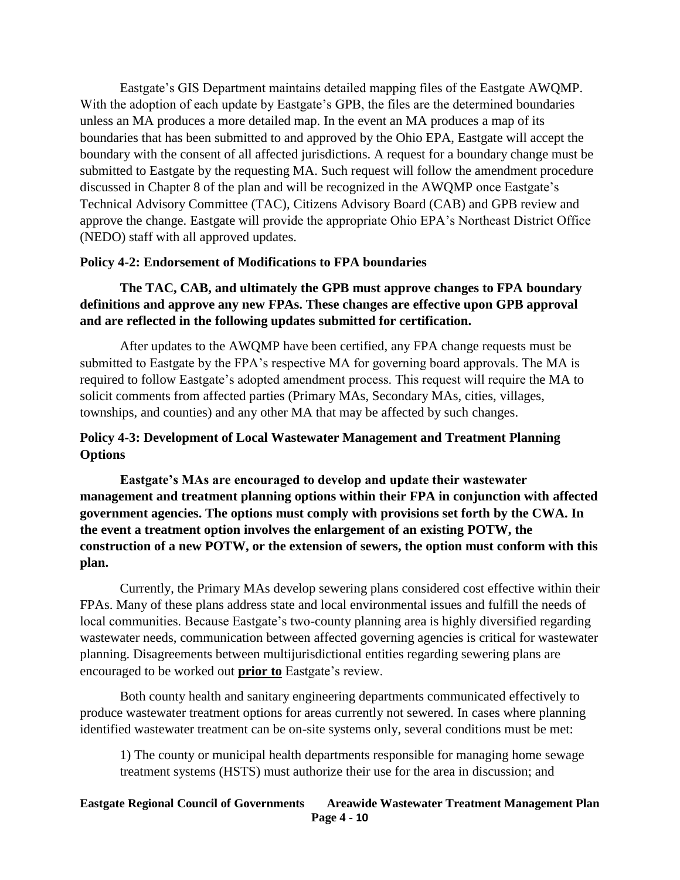Eastgate's GIS Department maintains detailed mapping files of the Eastgate AWQMP. With the adoption of each update by Eastgate's GPB, the files are the determined boundaries unless an MA produces a more detailed map. In the event an MA produces a map of its boundaries that has been submitted to and approved by the Ohio EPA, Eastgate will accept the boundary with the consent of all affected jurisdictions. A request for a boundary change must be submitted to Eastgate by the requesting MA. Such request will follow the amendment procedure discussed in Chapter 8 of the plan and will be recognized in the AWQMP once Eastgate's Technical Advisory Committee (TAC), Citizens Advisory Board (CAB) and GPB review and approve the change. Eastgate will provide the appropriate Ohio EPA's Northeast District Office (NEDO) staff with all approved updates.

### **Policy 4-2: Endorsement of Modifications to FPA boundaries**

# **The TAC, CAB, and ultimately the GPB must approve changes to FPA boundary definitions and approve any new FPAs. These changes are effective upon GPB approval and are reflected in the following updates submitted for certification.**

After updates to the AWQMP have been certified, any FPA change requests must be submitted to Eastgate by the FPA's respective MA for governing board approvals. The MA is required to follow Eastgate's adopted amendment process. This request will require the MA to solicit comments from affected parties (Primary MAs, Secondary MAs, cities, villages, townships, and counties) and any other MA that may be affected by such changes.

# **Policy 4-3: Development of Local Wastewater Management and Treatment Planning Options**

**Eastgate's MAs are encouraged to develop and update their wastewater management and treatment planning options within their FPA in conjunction with affected government agencies. The options must comply with provisions set forth by the CWA. In the event a treatment option involves the enlargement of an existing POTW, the construction of a new POTW, or the extension of sewers, the option must conform with this plan.**

Currently, the Primary MAs develop sewering plans considered cost effective within their FPAs. Many of these plans address state and local environmental issues and fulfill the needs of local communities. Because Eastgate's two-county planning area is highly diversified regarding wastewater needs, communication between affected governing agencies is critical for wastewater planning. Disagreements between multijurisdictional entities regarding sewering plans are encouraged to be worked out **prior to** Eastgate's review.

Both county health and sanitary engineering departments communicated effectively to produce wastewater treatment options for areas currently not sewered. In cases where planning identified wastewater treatment can be on-site systems only, several conditions must be met:

1) The county or municipal health departments responsible for managing home sewage treatment systems (HSTS) must authorize their use for the area in discussion; and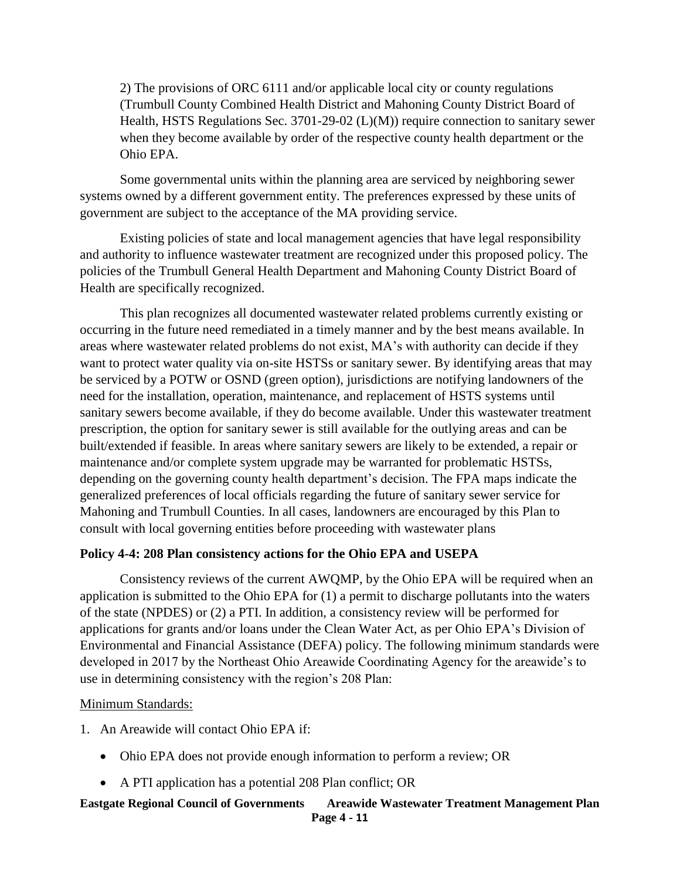2) The provisions of ORC 6111 and/or applicable local city or county regulations (Trumbull County Combined Health District and Mahoning County District Board of Health, HSTS Regulations Sec. 3701-29-02 (L)(M)) require connection to sanitary sewer when they become available by order of the respective county health department or the Ohio EPA.

Some governmental units within the planning area are serviced by neighboring sewer systems owned by a different government entity. The preferences expressed by these units of government are subject to the acceptance of the MA providing service.

Existing policies of state and local management agencies that have legal responsibility and authority to influence wastewater treatment are recognized under this proposed policy. The policies of the Trumbull General Health Department and Mahoning County District Board of Health are specifically recognized.

This plan recognizes all documented wastewater related problems currently existing or occurring in the future need remediated in a timely manner and by the best means available. In areas where wastewater related problems do not exist, MA's with authority can decide if they want to protect water quality via on-site HSTSs or sanitary sewer. By identifying areas that may be serviced by a POTW or OSND (green option), jurisdictions are notifying landowners of the need for the installation, operation, maintenance, and replacement of HSTS systems until sanitary sewers become available, if they do become available. Under this wastewater treatment prescription, the option for sanitary sewer is still available for the outlying areas and can be built/extended if feasible. In areas where sanitary sewers are likely to be extended, a repair or maintenance and/or complete system upgrade may be warranted for problematic HSTSs, depending on the governing county health department's decision. The FPA maps indicate the generalized preferences of local officials regarding the future of sanitary sewer service for Mahoning and Trumbull Counties. In all cases, landowners are encouraged by this Plan to consult with local governing entities before proceeding with wastewater plans

### **Policy 4-4: 208 Plan consistency actions for the Ohio EPA and USEPA**

Consistency reviews of the current AWQMP, by the Ohio EPA will be required when an application is submitted to the Ohio EPA for (1) a permit to discharge pollutants into the waters of the state (NPDES) or (2) a PTI. In addition, a consistency review will be performed for applications for grants and/or loans under the Clean Water Act, as per Ohio EPA's Division of Environmental and Financial Assistance (DEFA) policy. The following minimum standards were developed in 2017 by the Northeast Ohio Areawide Coordinating Agency for the areawide's to use in determining consistency with the region's 208 Plan:

#### Minimum Standards:

1. An Areawide will contact Ohio EPA if:

- Ohio EPA does not provide enough information to perform a review; OR
- A PTI application has a potential 208 Plan conflict; OR

#### **Eastgate Regional Council of Governments Areawide Wastewater Treatment Management Plan Page 4 - 11**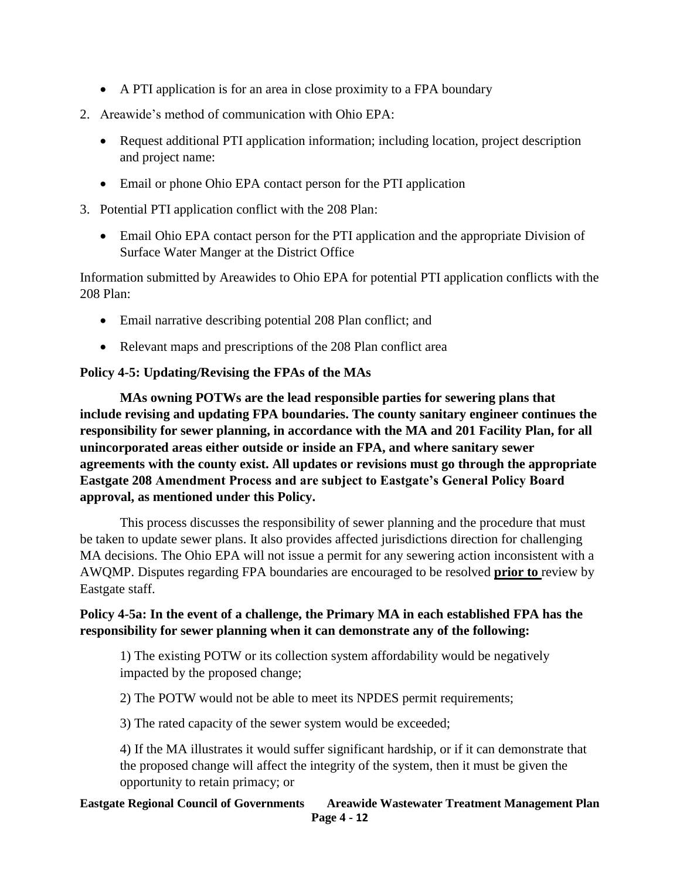- A PTI application is for an area in close proximity to a FPA boundary
- 2. Areawide's method of communication with Ohio EPA:
	- Request additional PTI application information; including location, project description and project name:
	- Email or phone Ohio EPA contact person for the PTI application
- 3. Potential PTI application conflict with the 208 Plan:
	- Email Ohio EPA contact person for the PTI application and the appropriate Division of Surface Water Manger at the District Office

Information submitted by Areawides to Ohio EPA for potential PTI application conflicts with the 208 Plan:

- Email narrative describing potential 208 Plan conflict; and
- Relevant maps and prescriptions of the 208 Plan conflict area

# **Policy 4-5: Updating/Revising the FPAs of the MAs**

**MAs owning POTWs are the lead responsible parties for sewering plans that include revising and updating FPA boundaries. The county sanitary engineer continues the responsibility for sewer planning, in accordance with the MA and 201 Facility Plan, for all unincorporated areas either outside or inside an FPA, and where sanitary sewer agreements with the county exist. All updates or revisions must go through the appropriate Eastgate 208 Amendment Process and are subject to Eastgate's General Policy Board approval, as mentioned under this Policy.**

This process discusses the responsibility of sewer planning and the procedure that must be taken to update sewer plans. It also provides affected jurisdictions direction for challenging MA decisions. The Ohio EPA will not issue a permit for any sewering action inconsistent with a AWQMP. Disputes regarding FPA boundaries are encouraged to be resolved **prior to** review by Eastgate staff.

# **Policy 4-5a: In the event of a challenge, the Primary MA in each established FPA has the responsibility for sewer planning when it can demonstrate any of the following:**

1) The existing POTW or its collection system affordability would be negatively impacted by the proposed change;

2) The POTW would not be able to meet its NPDES permit requirements;

3) The rated capacity of the sewer system would be exceeded;

4) If the MA illustrates it would suffer significant hardship, or if it can demonstrate that the proposed change will affect the integrity of the system, then it must be given the opportunity to retain primacy; or

#### **Eastgate Regional Council of Governments Areawide Wastewater Treatment Management Plan Page 4 - 12**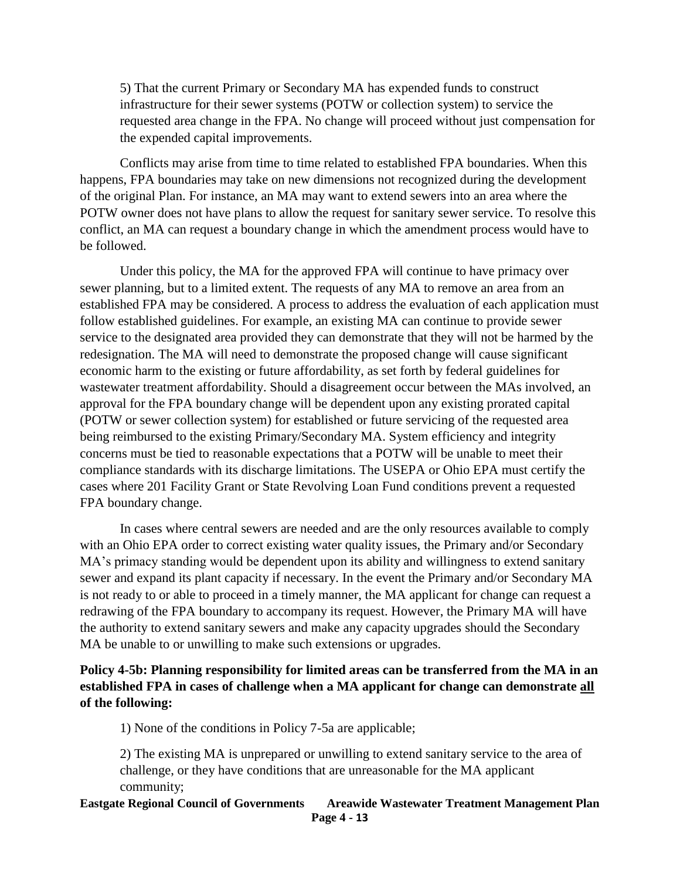5) That the current Primary or Secondary MA has expended funds to construct infrastructure for their sewer systems (POTW or collection system) to service the requested area change in the FPA. No change will proceed without just compensation for the expended capital improvements.

Conflicts may arise from time to time related to established FPA boundaries. When this happens, FPA boundaries may take on new dimensions not recognized during the development of the original Plan. For instance, an MA may want to extend sewers into an area where the POTW owner does not have plans to allow the request for sanitary sewer service. To resolve this conflict, an MA can request a boundary change in which the amendment process would have to be followed.

Under this policy, the MA for the approved FPA will continue to have primacy over sewer planning, but to a limited extent. The requests of any MA to remove an area from an established FPA may be considered. A process to address the evaluation of each application must follow established guidelines. For example, an existing MA can continue to provide sewer service to the designated area provided they can demonstrate that they will not be harmed by the redesignation. The MA will need to demonstrate the proposed change will cause significant economic harm to the existing or future affordability, as set forth by federal guidelines for wastewater treatment affordability. Should a disagreement occur between the MAs involved, an approval for the FPA boundary change will be dependent upon any existing prorated capital (POTW or sewer collection system) for established or future servicing of the requested area being reimbursed to the existing Primary/Secondary MA. System efficiency and integrity concerns must be tied to reasonable expectations that a POTW will be unable to meet their compliance standards with its discharge limitations. The USEPA or Ohio EPA must certify the cases where 201 Facility Grant or State Revolving Loan Fund conditions prevent a requested FPA boundary change.

In cases where central sewers are needed and are the only resources available to comply with an Ohio EPA order to correct existing water quality issues, the Primary and/or Secondary MA's primacy standing would be dependent upon its ability and willingness to extend sanitary sewer and expand its plant capacity if necessary. In the event the Primary and/or Secondary MA is not ready to or able to proceed in a timely manner, the MA applicant for change can request a redrawing of the FPA boundary to accompany its request. However, the Primary MA will have the authority to extend sanitary sewers and make any capacity upgrades should the Secondary MA be unable to or unwilling to make such extensions or upgrades.

# **Policy 4-5b: Planning responsibility for limited areas can be transferred from the MA in an established FPA in cases of challenge when a MA applicant for change can demonstrate all of the following:**

1) None of the conditions in Policy 7-5a are applicable;

2) The existing MA is unprepared or unwilling to extend sanitary service to the area of challenge, or they have conditions that are unreasonable for the MA applicant community;

#### **Eastgate Regional Council of Governments Areawide Wastewater Treatment Management Plan Page 4 - 13**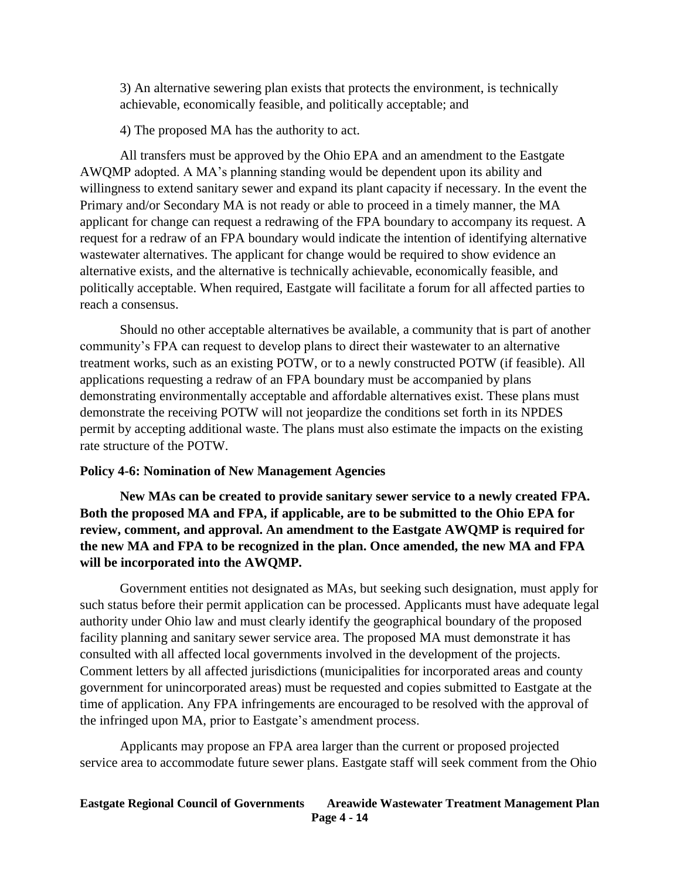3) An alternative sewering plan exists that protects the environment, is technically achievable, economically feasible, and politically acceptable; and

4) The proposed MA has the authority to act.

All transfers must be approved by the Ohio EPA and an amendment to the Eastgate AWQMP adopted. A MA's planning standing would be dependent upon its ability and willingness to extend sanitary sewer and expand its plant capacity if necessary. In the event the Primary and/or Secondary MA is not ready or able to proceed in a timely manner, the MA applicant for change can request a redrawing of the FPA boundary to accompany its request. A request for a redraw of an FPA boundary would indicate the intention of identifying alternative wastewater alternatives. The applicant for change would be required to show evidence an alternative exists, and the alternative is technically achievable, economically feasible, and politically acceptable. When required, Eastgate will facilitate a forum for all affected parties to reach a consensus.

Should no other acceptable alternatives be available, a community that is part of another community's FPA can request to develop plans to direct their wastewater to an alternative treatment works, such as an existing POTW, or to a newly constructed POTW (if feasible). All applications requesting a redraw of an FPA boundary must be accompanied by plans demonstrating environmentally acceptable and affordable alternatives exist. These plans must demonstrate the receiving POTW will not jeopardize the conditions set forth in its NPDES permit by accepting additional waste. The plans must also estimate the impacts on the existing rate structure of the POTW.

#### **Policy 4-6: Nomination of New Management Agencies**

**New MAs can be created to provide sanitary sewer service to a newly created FPA. Both the proposed MA and FPA, if applicable, are to be submitted to the Ohio EPA for review, comment, and approval. An amendment to the Eastgate AWQMP is required for the new MA and FPA to be recognized in the plan. Once amended, the new MA and FPA will be incorporated into the AWQMP.**

Government entities not designated as MAs, but seeking such designation, must apply for such status before their permit application can be processed. Applicants must have adequate legal authority under Ohio law and must clearly identify the geographical boundary of the proposed facility planning and sanitary sewer service area. The proposed MA must demonstrate it has consulted with all affected local governments involved in the development of the projects. Comment letters by all affected jurisdictions (municipalities for incorporated areas and county government for unincorporated areas) must be requested and copies submitted to Eastgate at the time of application. Any FPA infringements are encouraged to be resolved with the approval of the infringed upon MA, prior to Eastgate's amendment process.

Applicants may propose an FPA area larger than the current or proposed projected service area to accommodate future sewer plans. Eastgate staff will seek comment from the Ohio